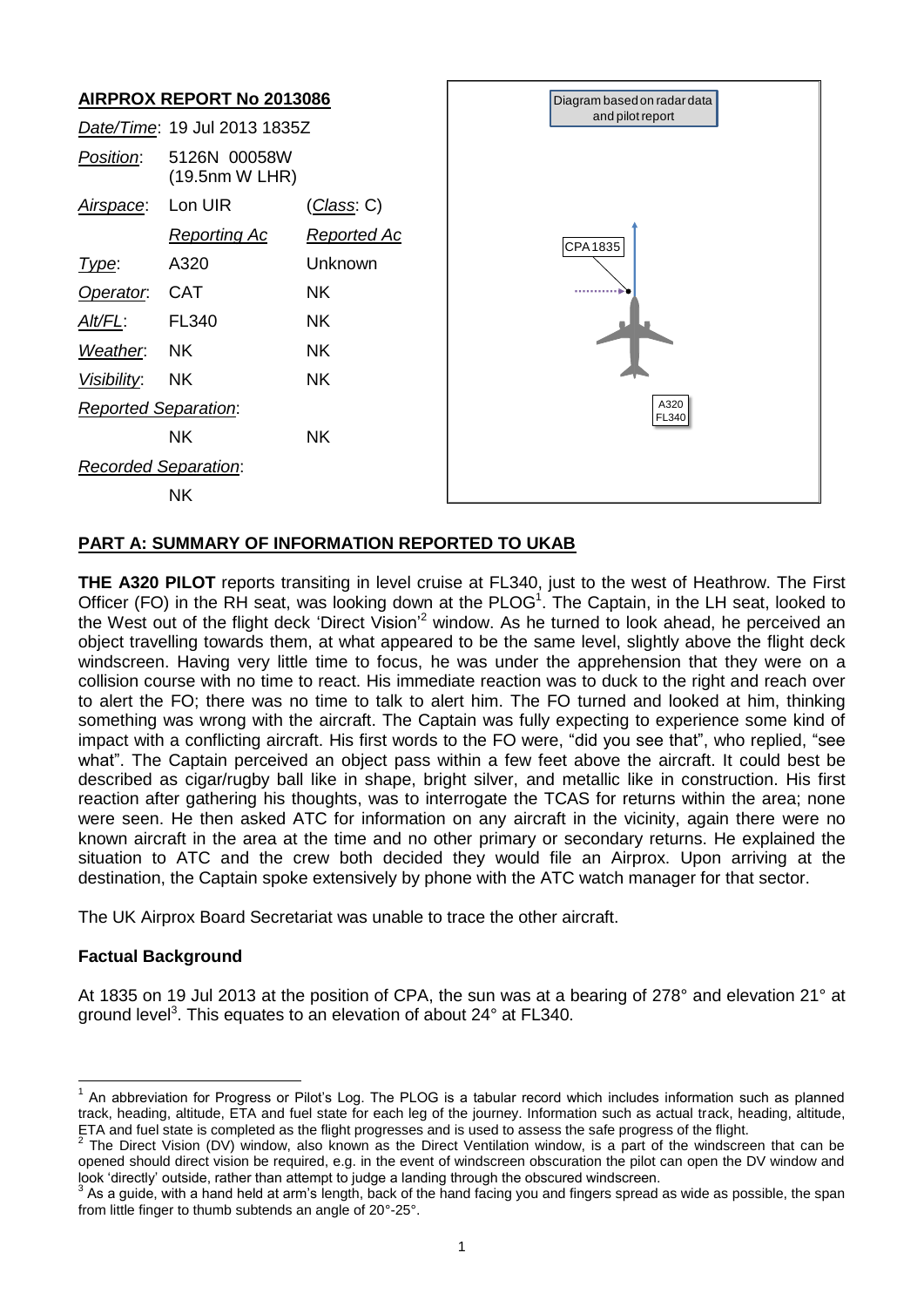

# **PART A: SUMMARY OF INFORMATION REPORTED TO UKAB**

**THE A320 PILOT** reports transiting in level cruise at FL340, just to the west of Heathrow. The First Officer (FO) in the RH seat, was looking down at the  $PLOG<sup>1</sup>$ . The Captain, in the LH seat, looked to the West out of the flight deck 'Direct Vision'<sup>2</sup> window. As he turned to look ahead, he perceived an object travelling towards them, at what appeared to be the same level, slightly above the flight deck windscreen. Having very little time to focus, he was under the apprehension that they were on a collision course with no time to react. His immediate reaction was to duck to the right and reach over to alert the FO; there was no time to talk to alert him. The FO turned and looked at him, thinking something was wrong with the aircraft. The Captain was fully expecting to experience some kind of impact with a conflicting aircraft. His first words to the FO were, "did you see that", who replied, "see what". The Captain perceived an object pass within a few feet above the aircraft. It could best be described as cigar/rugby ball like in shape, bright silver, and metallic like in construction. His first reaction after gathering his thoughts, was to interrogate the TCAS for returns within the area; none were seen. He then asked ATC for information on any aircraft in the vicinity, again there were no known aircraft in the area at the time and no other primary or secondary returns. He explained the situation to ATC and the crew both decided they would file an Airprox. Upon arriving at the destination, the Captain spoke extensively by phone with the ATC watch manager for that sector.

The UK Airprox Board Secretariat was unable to trace the other aircraft.

## **Factual Background**

 $\overline{\phantom{a}}$ 

At 1835 on 19 Jul 2013 at the position of CPA, the sun was at a bearing of 278° and elevation 21° at ground level<sup>3</sup>. This equates to an elevation of about 24° at FL340.

<sup>&</sup>lt;sup>1</sup> An abbreviation for Progress or Pilot's Log. The PLOG is a tabular record which includes information such as planned track, heading, altitude, ETA and fuel state for each leg of the journey. Information such as actual track, heading, altitude, ETA and fuel state is completed as the flight progresses and is used to assess the safe progress of the flight.<br><sup>2</sup> The Direct Visian (DV) window, also known as the Direct Ventilation window, is a part of the windows

The Direct Vision (DV) window, also known as the Direct Ventilation window, is a part of the windscreen that can be opened should direct vision be required, e.g. in the event of windscreen obscuration the pilot can open the DV window and look 'directly' outside, rather than attempt to judge a landing through the obscured windscreen.

<sup>3</sup> As a guide, with a hand held at arm's length, back of the hand facing you and fingers spread as wide as possible, the span from little finger to thumb subtends an angle of 20°-25°.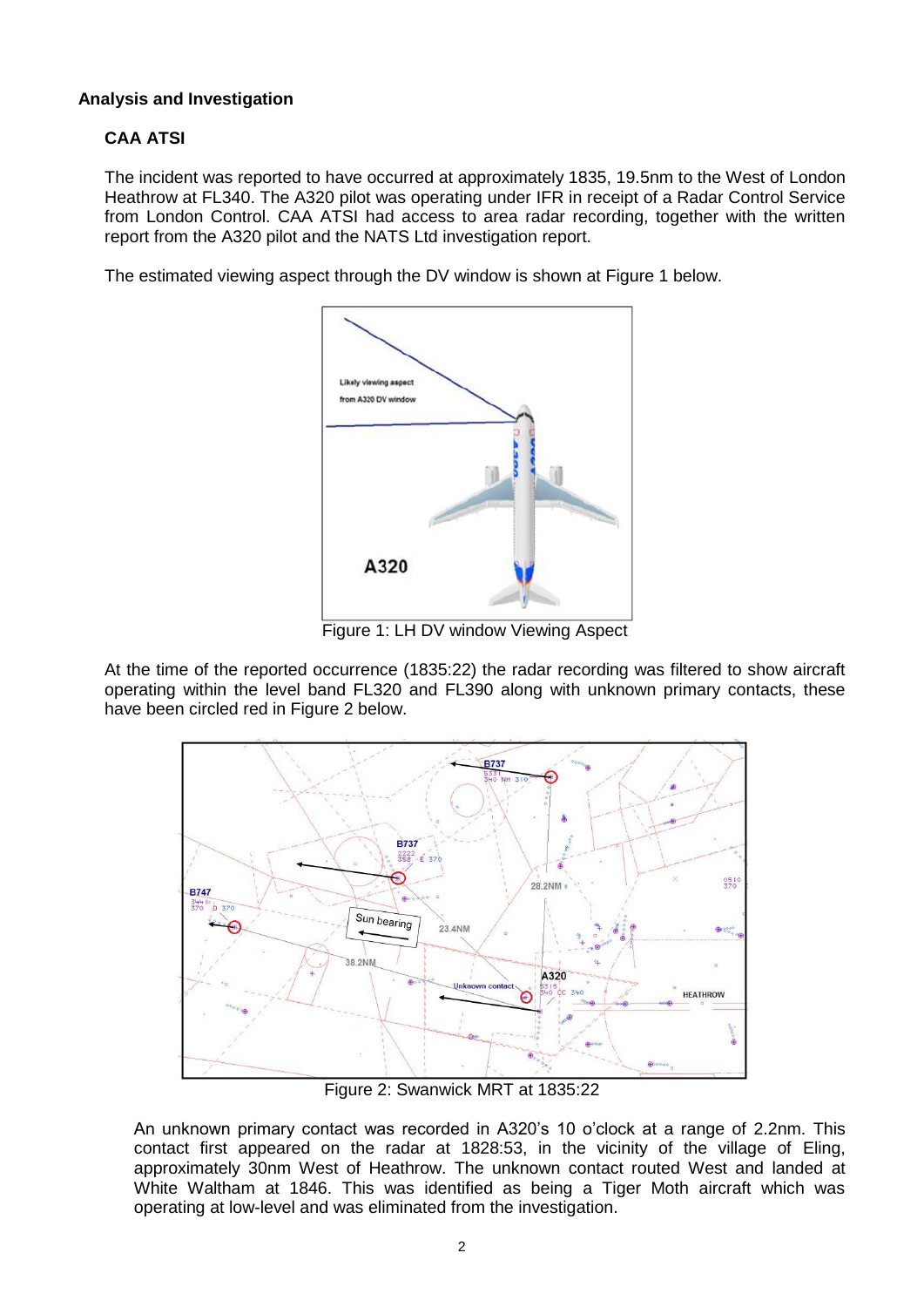# **Analysis and Investigation**

# **CAA ATSI**

The incident was reported to have occurred at approximately 1835, 19.5nm to the West of London Heathrow at FL340. The A320 pilot was operating under IFR in receipt of a Radar Control Service from London Control. CAA ATSI had access to area radar recording, together with the written report from the A320 pilot and the NATS Ltd investigation report.

The estimated viewing aspect through the DV window is shown at Figure 1 below.



Figure 1: LH DV window Viewing Aspect

At the time of the reported occurrence (1835:22) the radar recording was filtered to show aircraft operating within the level band FL320 and FL390 along with unknown primary contacts, these have been circled red in Figure 2 below.



Figure 2: Swanwick MRT at 1835:22

An unknown primary contact was recorded in A320's 10 o'clock at a range of 2.2nm. This contact first appeared on the radar at 1828:53, in the vicinity of the village of Eling, approximately 30nm West of Heathrow. The unknown contact routed West and landed at White Waltham at 1846. This was identified as being a Tiger Moth aircraft which was operating at low-level and was eliminated from the investigation.